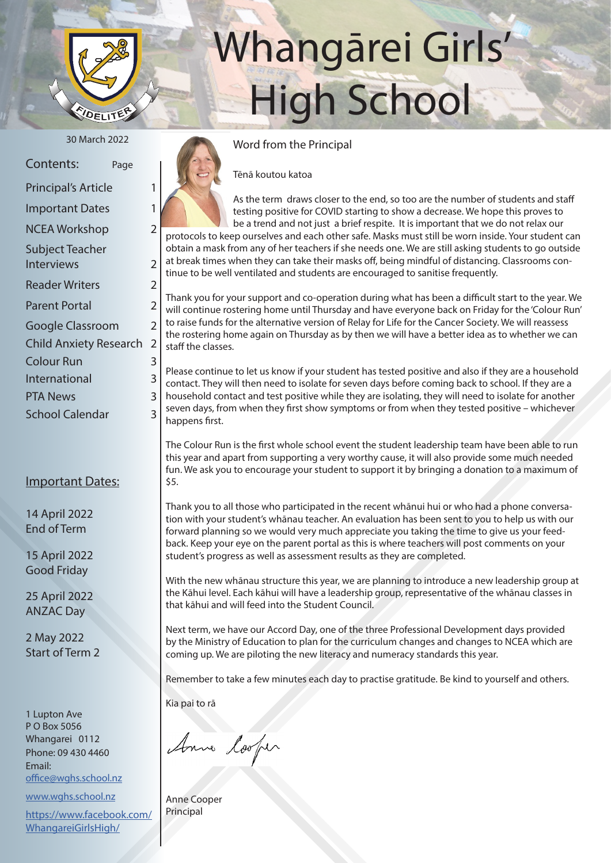

# Whangārei Girls' High School

| Contents:                     | Page           |
|-------------------------------|----------------|
| <b>Principal's Article</b>    | 1              |
| <b>Important Dates</b>        | 1              |
| <b>NCEA Workshop</b>          | $\overline{2}$ |
| Subject Teacher               |                |
| <b>Interviews</b>             | 2              |
| <b>Reader Writers</b>         | $\overline{2}$ |
| <b>Parent Portal</b>          | $\overline{2}$ |
| Google Classroom              | $\overline{2}$ |
| <b>Child Anxiety Research</b> | 2              |
| <b>Colour Run</b>             | 3              |
| International                 | 3              |
| PTA News                      | 3              |

School Calendar 3

#### Important Dates:

14 April 2022 End of Term

15 April 2022 Good Friday

25 April 2022 ANZAC Day

2 May 2022 Start of Term 2

1 Lupton Ave P O Box 5056 Whangarei 0112 Phone: 09 430 4460 Email: office@wghs.school.nz

www.wghs.school.nz

https://www.facebook.com/ WhangareiGirlsHigh/

## 30 March 2022 Word from the Principal

Tēnā koutou katoa

As the term draws closer to the end, so too are the number of students and staff testing positive for COVID starting to show a decrease. We hope this proves to be a trend and not just a brief respite. It is important that we do not relax our protocols to keep ourselves and each other safe. Masks must still be worn inside. Your student can obtain a mask from any of her teachers if she needs one. We are still asking students to go outside at break times when they can take their masks off, being mindful of distancing. Classrooms continue to be well ventilated and students are encouraged to sanitise frequently.

Thank you for your support and co-operation during what has been a difficult start to the year. We will continue rostering home until Thursday and have everyone back on Friday for the 'Colour Run' to raise funds for the alternative version of Relay for Life for the Cancer Society. We will reassess the rostering home again on Thursday as by then we will have a better idea as to whether we can staff the classes.

Please continue to let us know if your student has tested positive and also if they are a household contact. They will then need to isolate for seven days before coming back to school. If they are a household contact and test positive while they are isolating, they will need to isolate for another seven days, from when they first show symptoms or from when they tested positive – whichever happens first.

The Colour Run is the first whole school event the student leadership team have been able to run this year and apart from supporting a very worthy cause, it will also provide some much needed fun. We ask you to encourage your student to support it by bringing a donation to a maximum of \$5.

Thank you to all those who participated in the recent whānui hui or who had a phone conversation with your student's whānau teacher. An evaluation has been sent to you to help us with our forward planning so we would very much appreciate you taking the time to give us your feedback. Keep your eye on the parent portal as this is where teachers will post comments on your student's progress as well as assessment results as they are completed.

With the new whānau structure this year, we are planning to introduce a new leadership group at the Kāhui level. Each kāhui will have a leadership group, representative of the whānau classes in that kāhui and will feed into the Student Council.

Next term, we have our Accord Day, one of the three Professional Development days provided by the Ministry of Education to plan for the curriculum changes and changes to NCEA which are coming up. We are piloting the new literacy and numeracy standards this year.

Remember to take a few minutes each day to practise gratitude. Be kind to yourself and others.

Kia pai to rā

Anne looper

Anne Cooper Principal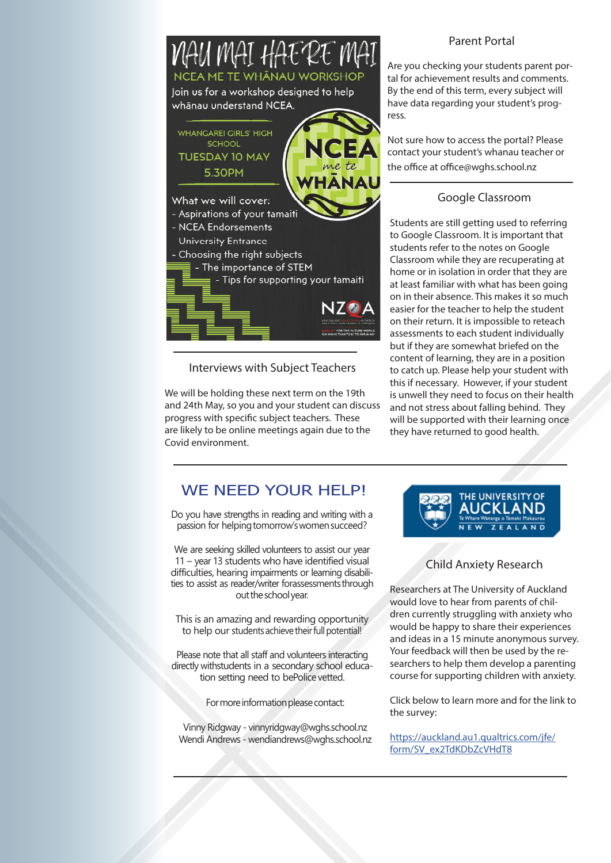

Interviews with Subject Teachers

We will be holding these next term on the 19th and 24th May, so you and your student can discuss progress with specific subject teachers. These are likely to be online meetings again due to the Covid environment.

#### Parent Portal

Are you checking your students parent portal for achievement results and comments. By the end of this term, every subject will have data regarding your student's progress.

Not sure how to access the portal? Please contact your student's whanau teacher or the office at office@wghs.school.nz

#### Google Classroom

Students are still getting used to referring to Google Classroom. It is important that students refer to the notes on Google Classroom while they are recuperating at home or in isolation in order that they are at least familiar with what has been going on in their absence. This makes it so much easier for the teacher to help the student on their return. It is impossible to reteach assessments to each student individually but if they are somewhat briefed on the content of learning, they are in a position to catch up. Please help your student with this if necessary. However, if your student is unwell they need to focus on their health and not stress about falling behind. They will be supported with their learning once they have returned to good health.

### WE NEED YOUR HELP!

Do you have strengths in reading and writing with a passion for helping tomorrow's women succeed?

We are seeking skilled volunteers to assist our year 11 – year 13 students who have identified visual difficulties, hearing impairments or learning disabilities to assist as reader/writer for assessments through out the school year.

This is an amazing and rewarding opportunity to help our students achieve their full potential!

Please note that all staff and volunteers interacting directly with students in a secondary school education setting need to bePolice vetted.

For more information please contact:

Vinny Ridgway - vinnyridgway@wghs.school.nz Wendi Andrews - wendiandrews@wghs.school.nz



#### Child Anxiety Research

Researchers at The University of Auckland would love to hear from parents of children currently struggling with anxiety who would be happy to share their experiences and ideas in a 15 minute anonymous survey. Your feedback will then be used by the researchers to help them develop a parenting course for supporting children with anxiety.

Click below to learn more and for the link to the survey:

https://auckland.au1.qualtrics.com/jfe/ form/SV\_ex2TdKDbZcVHdT8